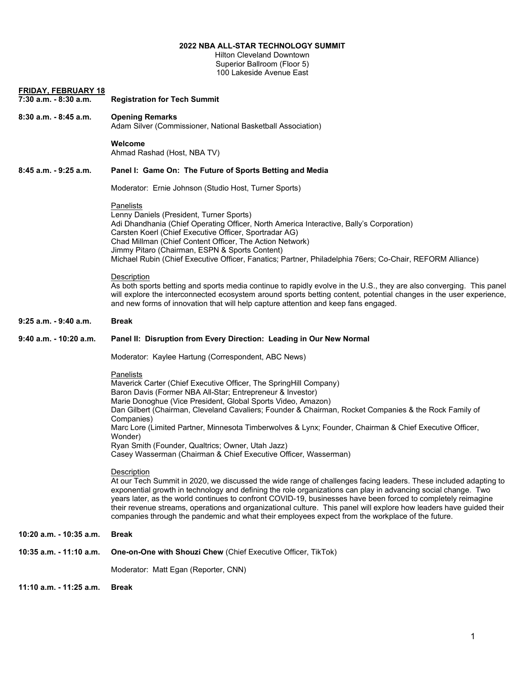# **2022 NBA ALL-STAR TECHNOLOGY SUMMIT**

Hilton Cleveland Downtown Superior Ballroom (Floor 5) 100 Lakeside Avenue East

| <b>FRIDAY, FEBRUARY 18</b><br>7:30 a.m. - 8:30 a.m. | <b>Registration for Tech Summit</b>                                                                                                                                                                                                                                                                                                                                                                                                                                                                                                                                                          |
|-----------------------------------------------------|----------------------------------------------------------------------------------------------------------------------------------------------------------------------------------------------------------------------------------------------------------------------------------------------------------------------------------------------------------------------------------------------------------------------------------------------------------------------------------------------------------------------------------------------------------------------------------------------|
|                                                     |                                                                                                                                                                                                                                                                                                                                                                                                                                                                                                                                                                                              |
| 8:30 a.m. - 8:45 a.m.                               | <b>Opening Remarks</b><br>Adam Silver (Commissioner, National Basketball Association)                                                                                                                                                                                                                                                                                                                                                                                                                                                                                                        |
|                                                     | Welcome<br>Ahmad Rashad (Host, NBA TV)                                                                                                                                                                                                                                                                                                                                                                                                                                                                                                                                                       |
| 8:45 a.m. - 9:25 a.m.                               | Panel I: Game On: The Future of Sports Betting and Media                                                                                                                                                                                                                                                                                                                                                                                                                                                                                                                                     |
|                                                     | Moderator: Ernie Johnson (Studio Host, Turner Sports)                                                                                                                                                                                                                                                                                                                                                                                                                                                                                                                                        |
|                                                     | <b>Panelists</b><br>Lenny Daniels (President, Turner Sports)<br>Adi Dhandhania (Chief Operating Officer, North America Interactive, Bally's Corporation)<br>Carsten Koerl (Chief Executive Officer, Sportradar AG)<br>Chad Millman (Chief Content Officer, The Action Network)<br>Jimmy Pitaro (Chairman, ESPN & Sports Content)<br>Michael Rubin (Chief Executive Officer, Fanatics; Partner, Philadelphia 76ers; Co-Chair, REFORM Alliance)                                                                                                                                                |
|                                                     | Description<br>As both sports betting and sports media continue to rapidly evolve in the U.S., they are also converging. This panel<br>will explore the interconnected ecosystem around sports betting content, potential changes in the user experience,<br>and new forms of innovation that will help capture attention and keep fans engaged.                                                                                                                                                                                                                                             |
| 9:25 a.m. - 9:40 a.m.                               | <b>Break</b>                                                                                                                                                                                                                                                                                                                                                                                                                                                                                                                                                                                 |
| 9:40 a.m. - 10:20 a.m.                              | Panel II: Disruption from Every Direction: Leading in Our New Normal                                                                                                                                                                                                                                                                                                                                                                                                                                                                                                                         |
|                                                     | Moderator: Kaylee Hartung (Correspondent, ABC News)                                                                                                                                                                                                                                                                                                                                                                                                                                                                                                                                          |
|                                                     | Panelists<br>Maverick Carter (Chief Executive Officer, The SpringHill Company)<br>Baron Davis (Former NBA All-Star; Entrepreneur & Investor)<br>Marie Donoghue (Vice President, Global Sports Video, Amazon)<br>Dan Gilbert (Chairman, Cleveland Cavaliers; Founder & Chairman, Rocket Companies & the Rock Family of<br>Companies)<br>Marc Lore (Limited Partner, Minnesota Timberwolves & Lynx; Founder, Chairman & Chief Executive Officer,<br>Wonder)<br>Ryan Smith (Founder, Qualtrics; Owner, Utah Jazz)<br>Casey Wasserman (Chairman & Chief Executive Officer, Wasserman)            |
|                                                     | Description<br>At our Tech Summit in 2020, we discussed the wide range of challenges facing leaders. These included adapting to<br>exponential growth in technology and defining the role organizations can play in advancing social change. Two<br>years later, as the world continues to confront COVID-19, businesses have been forced to completely reimagine<br>their revenue streams, operations and organizational culture. This panel will explore how leaders have guided their<br>companies through the pandemic and what their employees expect from the workplace of the future. |
| 10:20 a.m. - 10:35 a.m.                             | Break                                                                                                                                                                                                                                                                                                                                                                                                                                                                                                                                                                                        |
| 10:35 a.m. - 11:10 a.m.                             | One-on-One with Shouzi Chew (Chief Executive Officer, TikTok)                                                                                                                                                                                                                                                                                                                                                                                                                                                                                                                                |
|                                                     | Moderator: Matt Egan (Reporter, CNN)                                                                                                                                                                                                                                                                                                                                                                                                                                                                                                                                                         |
| 11:10 a.m. - 11:25 a.m.                             | Break                                                                                                                                                                                                                                                                                                                                                                                                                                                                                                                                                                                        |